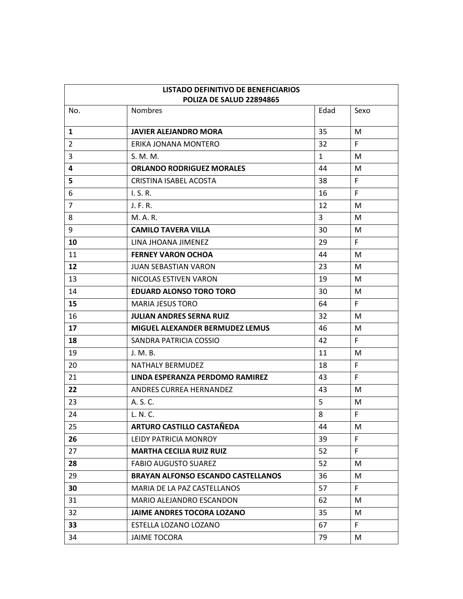| LISTADO DEFINITIVO DE BENEFICIARIOS |                                            |              |      |  |
|-------------------------------------|--------------------------------------------|--------------|------|--|
| No.                                 | POLIZA DE SALUD 22894865<br><b>Nombres</b> | Edad         | Sexo |  |
|                                     |                                            |              |      |  |
| 1                                   | <b>JAVIER ALEJANDRO MORA</b>               | 35           | M    |  |
| $\overline{2}$                      | ERIKA JONANA MONTERO                       | 32           | F.   |  |
| 3                                   | S. M. M.                                   | $\mathbf{1}$ | М    |  |
| 4                                   | <b>ORLANDO RODRIGUEZ MORALES</b>           | 44           | М    |  |
| 5                                   | <b>CRISTINA ISABEL ACOSTA</b>              | 38           | F.   |  |
| 6                                   | I.S.R.                                     | 16           | F.   |  |
| $\overline{7}$                      | J. F. R.                                   | 12           | М    |  |
| 8                                   | M. A. R.                                   | 3            | М    |  |
| 9                                   | <b>CAMILO TAVERA VILLA</b>                 | 30           | M    |  |
| 10                                  | LINA JHOANA JIMENEZ                        | 29           | F.   |  |
| 11                                  | <b>FERNEY VARON OCHOA</b>                  | 44           | М    |  |
| 12                                  | <b>JUAN SEBASTIAN VARON</b>                | 23           | М    |  |
| 13                                  | NICOLAS ESTIVEN VARON                      | 19           | M    |  |
| 14                                  | <b>EDUARD ALONSO TORO TORO</b>             | 30           | M    |  |
| 15                                  | <b>MARIA JESUS TORO</b>                    | 64           | F.   |  |
| 16                                  | <b>JULIAN ANDRES SERNA RUIZ</b>            | 32           | M    |  |
| 17                                  | <b>MIGUEL ALEXANDER BERMUDEZ LEMUS</b>     | 46           | M    |  |
| 18                                  | SANDRA PATRICIA COSSIO                     | 42           | F.   |  |
| 19                                  | J. M. B.                                   | 11           | M    |  |
| 20                                  | <b>NATHALY BERMUDEZ</b>                    | 18           | F    |  |
| 21                                  | LINDA ESPERANZA PERDOMO RAMIREZ            | 43           | F.   |  |
| 22                                  | ANDRES CURREA HERNANDEZ                    | 43           | М    |  |
| 23                                  | A. S. C.                                   | 5            | M    |  |
| 24                                  | L. N. C.                                   | 8            | F.   |  |
| 25                                  | ARTURO CASTILLO CASTAÑEDA                  | 44           | M    |  |
| 26                                  | LEIDY PATRICIA MONROY                      | 39           | F.   |  |
| 27                                  | <b>MARTHA CECILIA RUIZ RUIZ</b>            | 52           | F.   |  |
| 28                                  | <b>FABIO AUGUSTO SUAREZ</b>                | 52           | М    |  |
| 29                                  | <b>BRAYAN ALFONSO ESCANDO CASTELLANOS</b>  | 36           | M    |  |
| 30                                  | MARIA DE LA PAZ CASTELLANOS                | 57           | F.   |  |
| 31                                  | MARIO ALEJANDRO ESCANDON                   | 62           | М    |  |
| 32                                  | <b>JAIME ANDRES TOCORA LOZANO</b>          | 35           | M    |  |
| 33                                  | ESTELLA LOZANO LOZANO                      | 67           | F.   |  |
| 34                                  | <b>JAIME TOCORA</b>                        | 79           | M    |  |